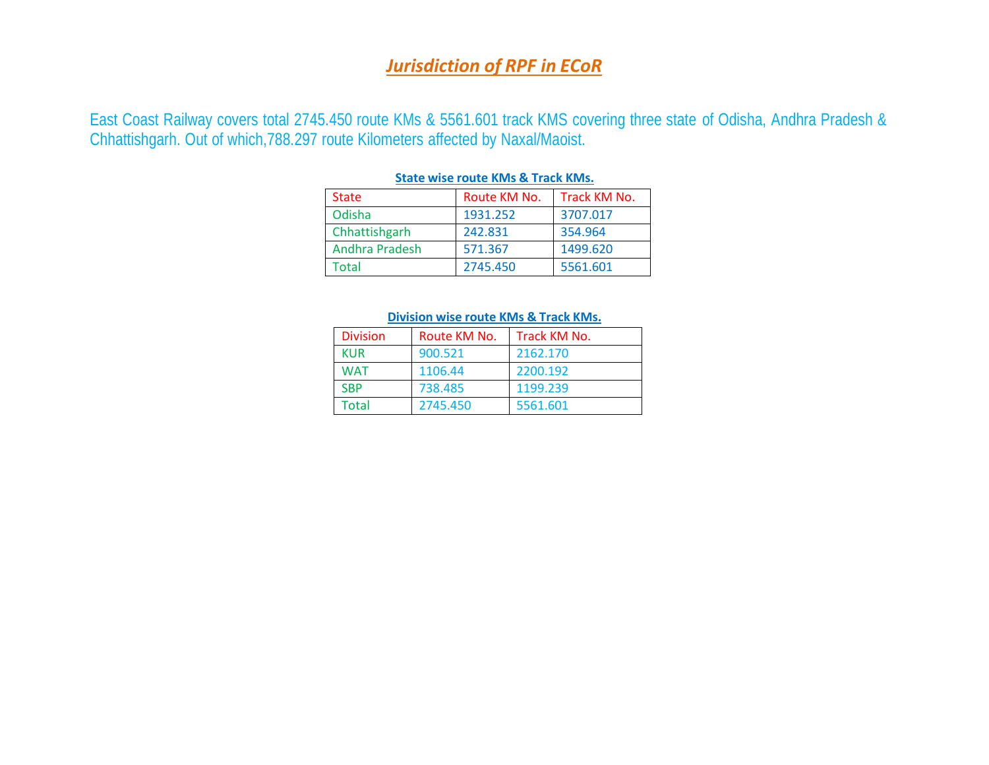### *Jurisdiction of RPF in ECoR*

East Coast Railway covers total 2745.450 route KMs & 5561.601 track KMS covering three state of Odisha, Andhra Pradesh & Chhattishgarh. Out of which,788.297 route Kilometers affected by Naxal/Maoist.

| <b>State</b>   | Route KM No. | Track KM No. |  |  |  |
|----------------|--------------|--------------|--|--|--|
| Odisha         | 1931.252     | 3707.017     |  |  |  |
| Chhattishgarh  | 242.831      | 354.964      |  |  |  |
| Andhra Pradesh | 571.367      | 1499.620     |  |  |  |
| Total          | 2745.450     | 5561.601     |  |  |  |

#### **State wise route KMs & Track KMs.**

#### **Division wise route KMs & Track KMs.**

| <b>Division</b> | Route KM No. | Track KM No. |
|-----------------|--------------|--------------|
| <b>KUR</b>      | 900.521      | 2162.170     |
| WAT             | 1106.44      | 2200.192     |
| <b>SBP</b>      | 738.485      | 1199.239     |
| Total           | 2745.450     | 5561.601     |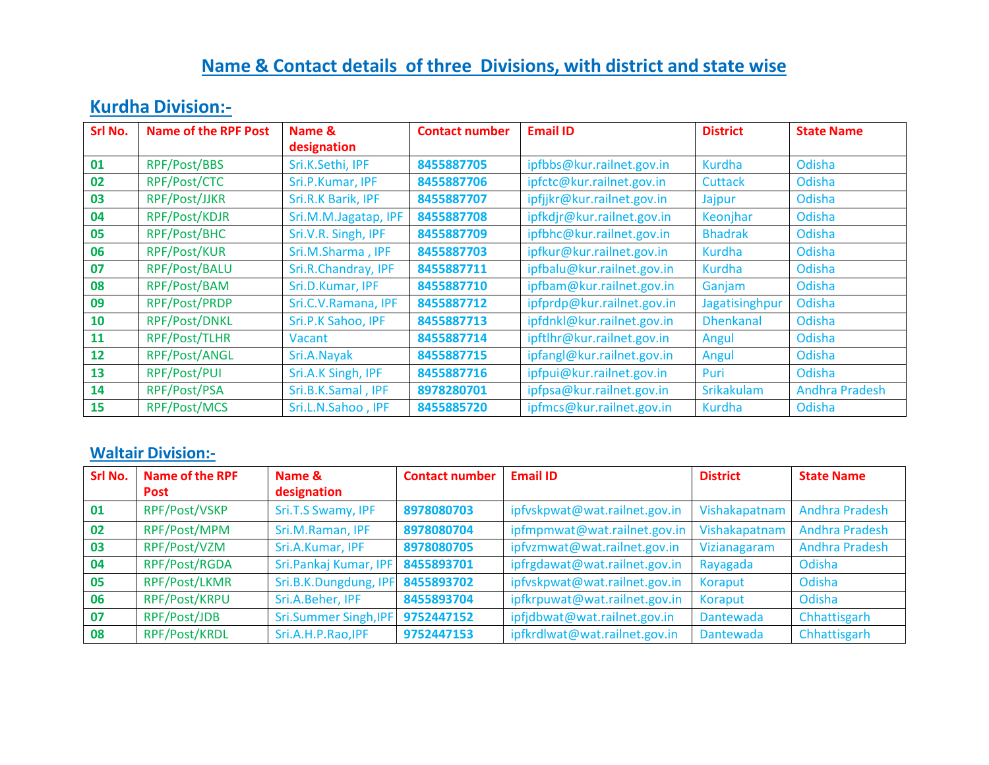# **Name & Contact details of three Divisions, with district and state wise**

## **Kurdha Division:-**

| Srl No. | <b>Name of the RPF Post</b> | Name &               | <b>Contact number</b> | <b>Email ID</b>            | <b>District</b>   | <b>State Name</b>     |
|---------|-----------------------------|----------------------|-----------------------|----------------------------|-------------------|-----------------------|
|         |                             | designation          |                       |                            |                   |                       |
| 01      | RPF/Post/BBS                | Sri.K.Sethi, IPF     | 8455887705            | ipfbbs@kur.railnet.gov.in  | Kurdha            | Odisha                |
| 02      | RPF/Post/CTC                | Sri.P.Kumar, IPF     | 8455887706            | ipfctc@kur.railnet.gov.in  | <b>Cuttack</b>    | Odisha                |
| 03      | RPF/Post/JJKR               | Sri.R.K Barik, IPF   | 8455887707            | ipfjjkr@kur.railnet.gov.in | Jajpur            | Odisha                |
| 04      | RPF/Post/KDJR               | Sri.M.M.Jagatap, IPF | 8455887708            | ipfkdjr@kur.railnet.gov.in | Keonjhar          | Odisha                |
| 05      | RPF/Post/BHC                | Sri.V.R. Singh, IPF  | 8455887709            | ipfbhc@kur.railnet.gov.in  | <b>Bhadrak</b>    | Odisha                |
| 06      | RPF/Post/KUR                | Sri.M.Sharma, IPF    | 8455887703            | ipfkur@kur.railnet.gov.in  | <b>Kurdha</b>     | Odisha                |
| 07      | RPF/Post/BALU               | Sri.R.Chandray, IPF  | 8455887711            | ipfbalu@kur.railnet.gov.in | Kurdha            | Odisha                |
| 08      | RPF/Post/BAM                | Sri.D.Kumar, IPF     | 8455887710            | ipfbam@kur.railnet.gov.in  | Ganjam            | Odisha                |
| 09      | RPF/Post/PRDP               | Sri.C.V.Ramana, IPF  | 8455887712            | ipfprdp@kur.railnet.gov.in | Jagatisinghpur    | Odisha                |
| 10      | RPF/Post/DNKL               | Sri.P.K Sahoo, IPF   | 8455887713            | ipfdnkl@kur.railnet.gov.in | <b>Dhenkanal</b>  | Odisha                |
| 11      | RPF/Post/TLHR               | Vacant               | 8455887714            | ipftlhr@kur.railnet.gov.in | Angul             | Odisha                |
| 12      | RPF/Post/ANGL               | Sri.A.Nayak          | 8455887715            | ipfangl@kur.railnet.gov.in | Angul             | Odisha                |
| 13      | RPF/Post/PUI                | Sri.A.K Singh, IPF   | 8455887716            | ipfpui@kur.railnet.gov.in  | Puri              | Odisha                |
| 14      | RPF/Post/PSA                | Sri.B.K.Samal, IPF   | 8978280701            | ipfpsa@kur.railnet.gov.in  | <b>Srikakulam</b> | <b>Andhra Pradesh</b> |
| 15      | RPF/Post/MCS                | Sri.L.N.Sahoo, IPF   | 8455885720            | ipfmcs@kur.railnet.gov.in  | Kurdha            | Odisha                |

### **Waltair Division:-**

| Srl No. | Name of the RPF | Name &                       | <b>Contact number</b> | <b>Email ID</b>               | <b>District</b> | <b>State Name</b>     |
|---------|-----------------|------------------------------|-----------------------|-------------------------------|-----------------|-----------------------|
|         | <b>Post</b>     | designation                  |                       |                               |                 |                       |
| 01      | RPF/Post/VSKP   | Sri.T.S Swamy, IPF           | 8978080703            | ipfvskpwat@wat.railnet.gov.in | Vishakapatnam   | <b>Andhra Pradesh</b> |
| 02      | RPF/Post/MPM    | Sri.M.Raman, IPF             | 8978080704            | ipfmpmwat@wat.railnet.gov.in  | Vishakapatnam   | <b>Andhra Pradesh</b> |
| 03      | RPF/Post/VZM    | Sri.A.Kumar, IPF             | 8978080705            | ipfvzmwat@wat.railnet.gov.in  | Vizianagaram    | <b>Andhra Pradesh</b> |
| 04      | RPF/Post/RGDA   | Sri.Pankaj Kumar, IPF        | 8455893701            | ipfrgdawat@wat.railnet.gov.in | Rayagada        | Odisha                |
| 05      | RPF/Post/LKMR   | Sri.B.K.Dungdung, IPF        | 8455893702            | ipfvskpwat@wat.railnet.gov.in | Koraput         | Odisha                |
| 06      | RPF/Post/KRPU   | Sri.A.Beher, IPF             | 8455893704            | ipfkrpuwat@wat.railnet.gov.in | Koraput         | Odisha                |
| 07      | RPF/Post/JDB    | <b>Sri.Summer Singh, IPF</b> | 9752447152            | ipfjdbwat@wat.railnet.gov.in  | Dantewada       | Chhattisgarh          |
| 08      | RPF/Post/KRDL   | Sri.A.H.P.Rao, IPF           | 9752447153            | ipfkrdlwat@wat.railnet.gov.in | Dantewada       | Chhattisgarh          |